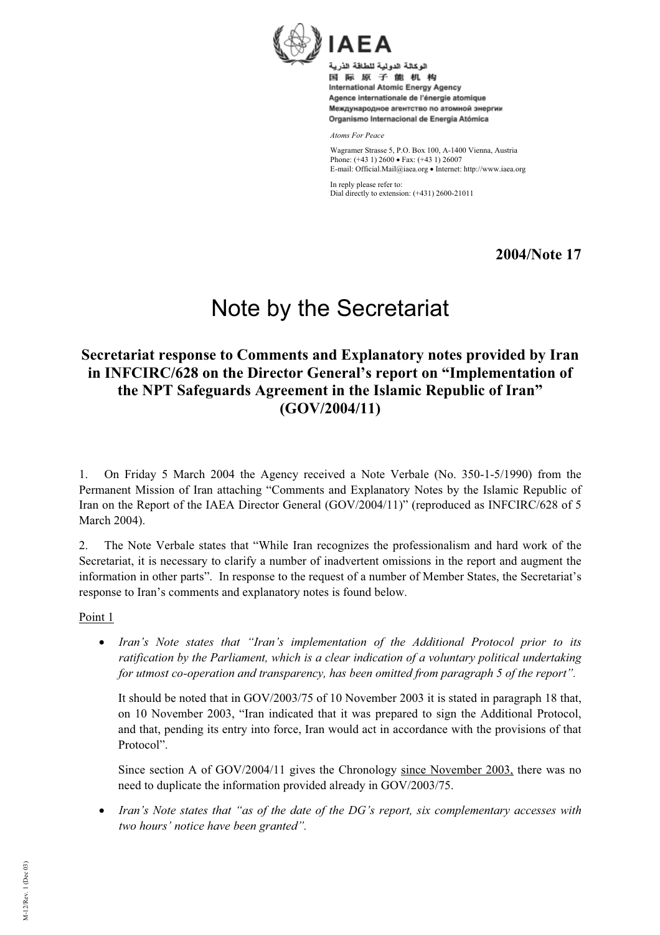

اله كالة الدولية للطاقة الذرية 国际原子能机构 International Atomic Energy Agency Agence internationale de l'énergie atomique Международное агентство по атомной энергии Organismo Internacional de Energía Atómica

*Atoms For Peace*

Wagramer Strasse 5, P.O. Box 100, A-1400 Vienna, Austria Phone:  $(+43 \ 1) \ 2600 \bullet \text{ Fax}$ :  $(+43 \ 1) \ 26007$ E-mail: Official.Mail@iaea.org · Internet: http://www.iaea.org

In reply please refer to: Dial directly to extension: (+431) 2600-21011

**2004/Note 17** 

# Note by the Secretariat

# **Secretariat response to Comments and Explanatory notes provided by Iran in INFCIRC/628 on the Director General's report on "Implementation of the NPT Safeguards Agreement in the Islamic Republic of Iran" (GOV/2004/11)**

1. On Friday 5 March 2004 the Agency received a Note Verbale (No. 350-1-5/1990) from the Permanent Mission of Iran attaching "Comments and Explanatory Notes by the Islamic Republic of Iran on the Report of the IAEA Director General (GOV/2004/11)" (reproduced as INFCIRC/628 of 5 March 2004).

2. The Note Verbale states that "While Iran recognizes the professionalism and hard work of the Secretariat, it is necessary to clarify a number of inadvertent omissions in the report and augment the information in other parts". In response to the request of a number of Member States, the Secretariat's response to Iran's comments and explanatory notes is found below.

Point 1

x *Iran's Note states that "Iran's implementation of the Additional Protocol prior to its ratification by the Parliament, which is a clear indication of a voluntary political undertaking for utmost co-operation and transparency, has been omitted from paragraph 5 of the report".*

It should be noted that in GOV/2003/75 of 10 November 2003 it is stated in paragraph 18 that, on 10 November 2003, "Iran indicated that it was prepared to sign the Additional Protocol, and that, pending its entry into force, Iran would act in accordance with the provisions of that Protocol".

Since section A of GOV/2004/11 gives the Chronology since November 2003, there was no need to duplicate the information provided already in GOV/2003/75.

• *Iran's Note states that "as of the date of the DG's report, six complementary accesses with two hours' notice have been granted".*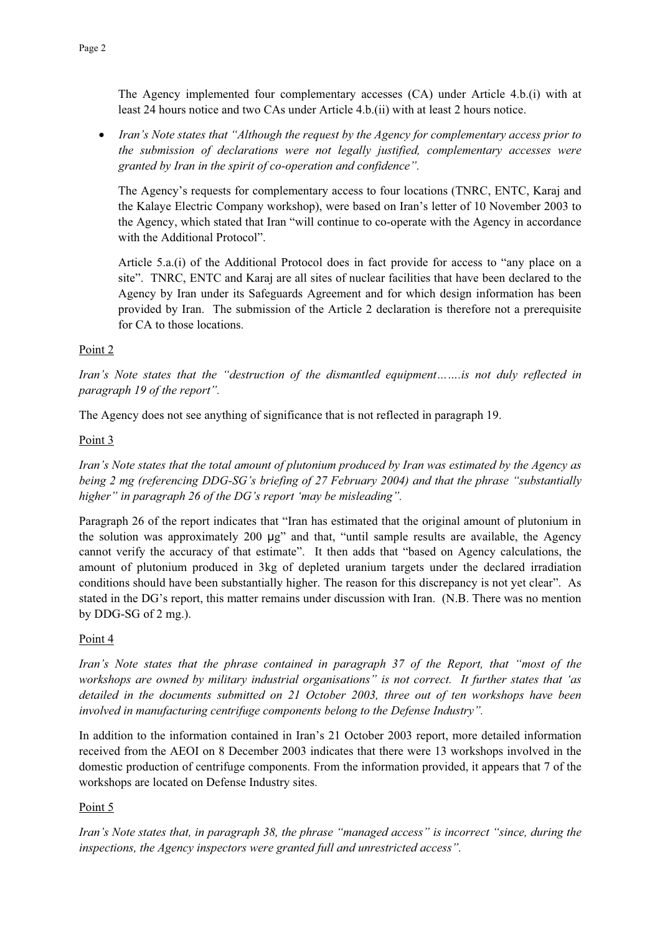The Agency implemented four complementary accesses (CA) under Article 4.b.(i) with at least 24 hours notice and two CAs under Article 4.b.(ii) with at least 2 hours notice.

x *Iran's Note states that "Although the request by the Agency for complementary access prior to the submission of declarations were not legally justified, complementary accesses were granted by Iran in the spirit of co-operation and confidence".* 

The Agency's requests for complementary access to four locations (TNRC, ENTC, Karaj and the Kalaye Electric Company workshop), were based on Iran's letter of 10 November 2003 to the Agency, which stated that Iran "will continue to co-operate with the Agency in accordance with the Additional Protocol".

Article 5.a.(i) of the Additional Protocol does in fact provide for access to "any place on a site". TNRC, ENTC and Karaj are all sites of nuclear facilities that have been declared to the Agency by Iran under its Safeguards Agreement and for which design information has been provided by Iran. The submission of the Article 2 declaration is therefore not a prerequisite for CA to those locations.

# Point 2

*Iran's Note states that the "destruction of the dismantled equipment…….is not duly reflected in paragraph 19 of the report".*

The Agency does not see anything of significance that is not reflected in paragraph 19.

#### Point 3

*Iran's Note states that the total amount of plutonium produced by Iran was estimated by the Agency as being 2 mg (referencing DDG-SG's briefing of 27 February 2004) and that the phrase "substantially higher" in paragraph 26 of the DG's report 'may be misleading".* 

Paragraph 26 of the report indicates that "Iran has estimated that the original amount of plutonium in the solution was approximately 200 µg" and that, "until sample results are available, the Agency cannot verify the accuracy of that estimate". It then adds that "based on Agency calculations, the amount of plutonium produced in 3kg of depleted uranium targets under the declared irradiation conditions should have been substantially higher. The reason for this discrepancy is not yet clear". As stated in the DG's report, this matter remains under discussion with Iran. (N.B. There was no mention by DDG-SG of 2 mg.).

#### Point 4

*Iran's Note states that the phrase contained in paragraph 37 of the Report, that "most of the workshops are owned by military industrial organisations" is not correct. It further states that 'as detailed in the documents submitted on 21 October 2003, three out of ten workshops have been involved in manufacturing centrifuge components belong to the Defense Industry".*

In addition to the information contained in Iran's 21 October 2003 report, more detailed information received from the AEOI on 8 December 2003 indicates that there were 13 workshops involved in the domestic production of centrifuge components. From the information provided, it appears that 7 of the workshops are located on Defense Industry sites.

# Point 5

*Iran's Note states that, in paragraph 38, the phrase "managed access" is incorrect "since, during the inspections, the Agency inspectors were granted full and unrestricted access".*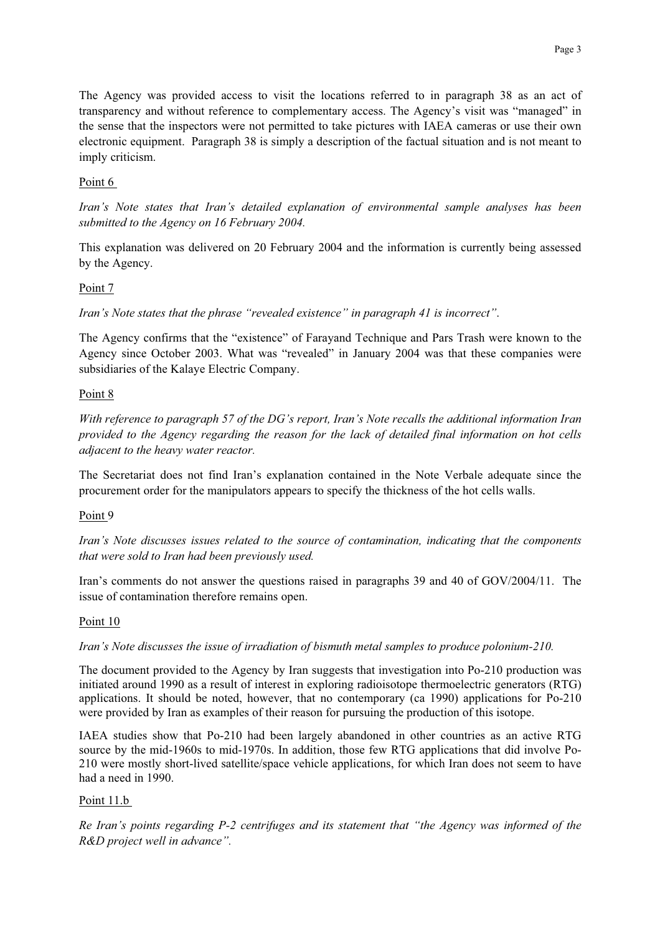The Agency was provided access to visit the locations referred to in paragraph 38 as an act of transparency and without reference to complementary access. The Agency's visit was "managed" in the sense that the inspectors were not permitted to take pictures with IAEA cameras or use their own electronic equipment. Paragraph 38 is simply a description of the factual situation and is not meant to imply criticism.

#### Point 6

*Iran's Note states that Iran's detailed explanation of environmental sample analyses has been submitted to the Agency on 16 February 2004.*

This explanation was delivered on 20 February 2004 and the information is currently being assessed by the Agency.

#### Point 7

*Iran's Note states that the phrase "revealed existence" in paragraph 41 is incorrect"*.

The Agency confirms that the "existence" of Farayand Technique and Pars Trash were known to the Agency since October 2003. What was "revealed" in January 2004 was that these companies were subsidiaries of the Kalaye Electric Company.

#### Point 8

*With reference to paragraph 57 of the DG's report, Iran's Note recalls the additional information Iran provided to the Agency regarding the reason for the lack of detailed final information on hot cells adjacent to the heavy water reactor.* 

The Secretariat does not find Iran's explanation contained in the Note Verbale adequate since the procurement order for the manipulators appears to specify the thickness of the hot cells walls.

#### Point 9

*Iran's Note discusses issues related to the source of contamination, indicating that the components that were sold to Iran had been previously used.* 

Iran's comments do not answer the questions raised in paragraphs 39 and 40 of GOV/2004/11. The issue of contamination therefore remains open.

#### Point 10

*Iran's Note discusses the issue of irradiation of bismuth metal samples to produce polonium-210.*

The document provided to the Agency by Iran suggests that investigation into Po-210 production was initiated around 1990 as a result of interest in exploring radioisotope thermoelectric generators (RTG) applications. It should be noted, however, that no contemporary (ca 1990) applications for Po-210 were provided by Iran as examples of their reason for pursuing the production of this isotope.

IAEA studies show that Po-210 had been largely abandoned in other countries as an active RTG source by the mid-1960s to mid-1970s. In addition, those few RTG applications that did involve Po-210 were mostly short-lived satellite/space vehicle applications, for which Iran does not seem to have had a need in 1990.

#### Point 11.b

*Re Iran's points regarding P-2 centrifuges and its statement that "the Agency was informed of the R&D project well in advance".*